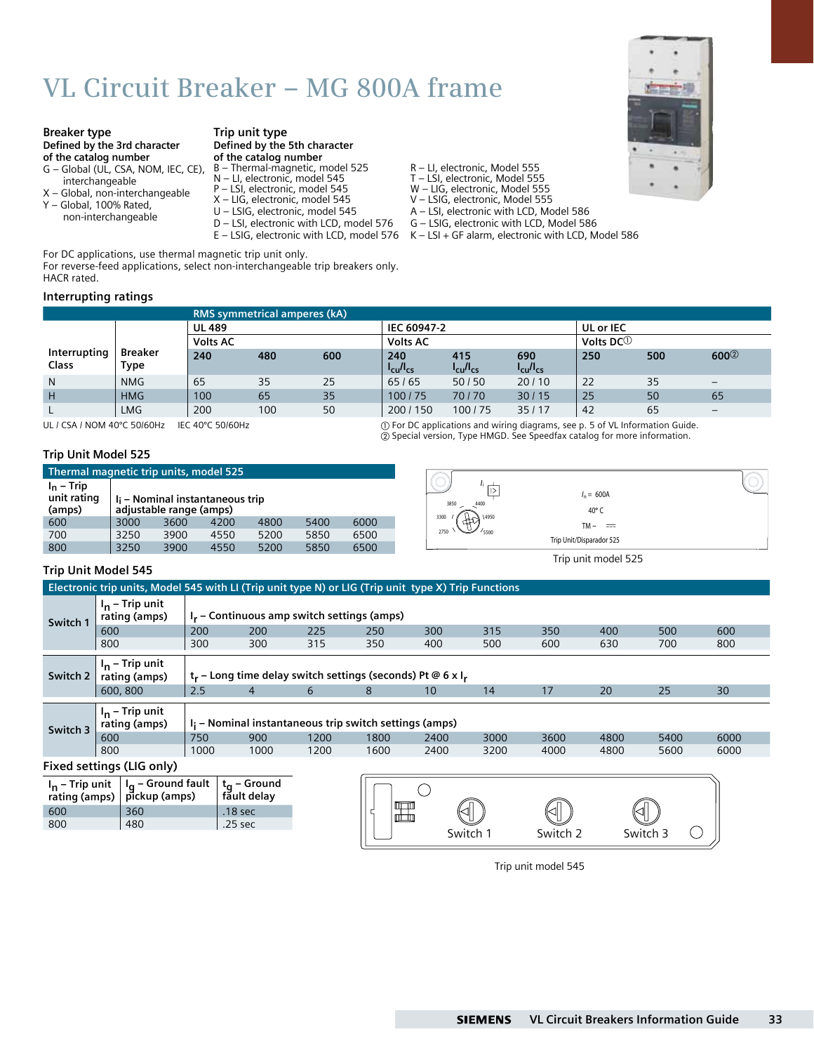# **VL Circuit Breaker – MG 800A frame**

#### **Breaker type Defined by the 3rd character of the catalog number**

G – Global (UL, CSA, NOM, IEC, CE), interchangeable

- X Global, non-interchangeable Y – Global, 100% Rated,
	- non-interchangeable

**Trip unit type Defined by the 5th character of the catalog number** B – Thermal-magnetic, model 525

- N LI, electronic, model 545
- P LSI, electronic, model 545
- X LIG, electronic, model 545
- U LSIG, electronic, model 545
- D LSI, electronic with LCD, model 576 E – LSIG, electronic with LCD, model 576
- 

For DC applications, use thermal magnetic trip unit only. For reverse-feed applications, select non-interchangeable trip breakers only. HACR rated.



- R LI, electronic, Model 555
- T LSI, electronic, Model 555
- W LIG, electronic, Model 555
- V LSIG, electronic, Model 555
- A LSI, electronic with LCD, Model 586
- G LSIG, electronic with LCD, Model 586
- K LSI + GF alarm, electronic with LCD, Model 586

# **Interrupting ratings**

| <b>RMS</b> symmetrical amperes (kA) |                        |                 |                 |     |                        |                                      |                        |              |     |                  |  |
|-------------------------------------|------------------------|-----------------|-----------------|-----|------------------------|--------------------------------------|------------------------|--------------|-----|------------------|--|
|                                     |                        | <b>UL 489</b>   |                 |     | IEC 60947-2            |                                      |                        | UL or IEC    |     |                  |  |
|                                     |                        | <b>Volts AC</b> | <b>Volts AC</b> |     |                        |                                      |                        | Volts DC $0$ |     |                  |  |
| Interrupting<br><b>Class</b>        | <b>Breaker</b><br>Type | 240             | 480             | 600 | 240<br>$I_{cu}/I_{cs}$ | 415<br>$I_{\text{cu}}/I_{\text{cs}}$ | 690<br>$I_{cu}/I_{cs}$ | 250          | 500 | 600 <sup>2</sup> |  |
| N <sub>1</sub>                      | <b>NMG</b>             | 65              | 35              | 25  | 65/65                  | 50/50                                | 20/10                  | 22           | 35  | -                |  |
| H                                   | <b>HMG</b>             | 100             | 65              | 35  | 100/75                 | 70/70                                | 30/15                  | 25           | 50  | 65               |  |
|                                     | <b>LMG</b>             | 200             | 100             | 50  | 200/150                | 100/75                               | 35/17                  | 42           | 65  | -                |  |

600 360 .18 sec<br>800 480 .25 sec

UL / CSA / NOM 40°C 50/60Hz IEC 40°C 50/60Hz <br>
① For DC applications and wiring diagrams, see p. 5 of VL Information Guide.  $\varphi$  Special version, Type HMGD. See Speedfax catalog for more information.

#### **Trip Unit Model 525**

| Thermal magnetic trip units, model 525 |      |                                                                        |      |      |      |      |  |  |  |  |
|----------------------------------------|------|------------------------------------------------------------------------|------|------|------|------|--|--|--|--|
| $I_n$ – Trip<br>unit rating<br>(amps)  |      | I <sub>i</sub> - Nominal instantaneous trip<br>adjustable range (amps) |      |      |      |      |  |  |  |  |
| 600                                    | 3000 | 3600                                                                   | 4200 | 4800 | 5400 | 6000 |  |  |  |  |
| 700                                    | 3250 | 3900                                                                   | 4550 | 5200 | 5850 | 6500 |  |  |  |  |
| 800                                    | 3250 | 3900                                                                   | 4550 | 5200 | 5850 | 6500 |  |  |  |  |

.25 sec



# **Trip Unit Model 545**

|                                             | Electronic trip units, Model 545 with LI (Trip unit type N) or LIG (Trip unit type X) Trip Functions |      |                                                                  |      |                 |      |      |      |      |      |      |
|---------------------------------------------|------------------------------------------------------------------------------------------------------|------|------------------------------------------------------------------|------|-----------------|------|------|------|------|------|------|
| Switch 1                                    | $I_n$ – Trip unit<br>rating (amps)                                                                   |      | $I_r$ – Continuous amp switch settings (amps)                    |      |                 |      |      |      |      |      |      |
|                                             | 600                                                                                                  | 200  | 200                                                              | 225  | 250             | 300  | 315  | 350  | 400  | 500  | 600  |
|                                             | 800                                                                                                  | 300  | 300                                                              | 315  | 350             | 400  | 500  | 600  | 630  | 700  | 800  |
| Switch <sub>2</sub>                         | $I_n$ – Trip unit<br>rating (amps)                                                                   |      | $t_r$ – Long time delay switch settings (seconds) Pt @ 6 x $I_r$ |      |                 |      |      |      |      |      |      |
|                                             | 600, 800                                                                                             | 2.5  | 4                                                                | 6    | 8               | 10   | 14   | 17   | 20   | 25   | 30   |
| Switch 3                                    | $I_n$ – Trip unit<br>rating (amps)                                                                   |      | $I_i$ – Nominal instantaneous trip switch settings (amps)        |      |                 |      |      |      |      |      |      |
|                                             | 600                                                                                                  | 750  | 900                                                              | 1200 | 1800            | 2400 | 3000 | 3600 | 4800 | 5400 | 6000 |
|                                             | 800                                                                                                  | 1000 | 1000                                                             | 1200 | 1600            | 2400 | 3200 | 4000 | 4800 | 5600 | 6000 |
|                                             | Fixed settings (LIG only)                                                                            |      |                                                                  |      |                 |      |      |      |      |      |      |
| I <sub>n</sub> – Trip unit<br>rating (amps) | $I_q$ – Ground fault<br>pickup (amps)                                                                |      | $t_{\mathbf{q}}$ – Ground<br>făult delay                         |      |                 |      |      |      |      |      |      |
| 600<br>$\sim$                               | 360<br>$\sqrt{2}$                                                                                    |      | .18 <sub>sec</sub><br>$\mathcal{L}$                              |      | $\Box$<br>mboth |      |      |      |      |      |      |

Trip unit model 545

Switch 1 Switch 2 Switch 3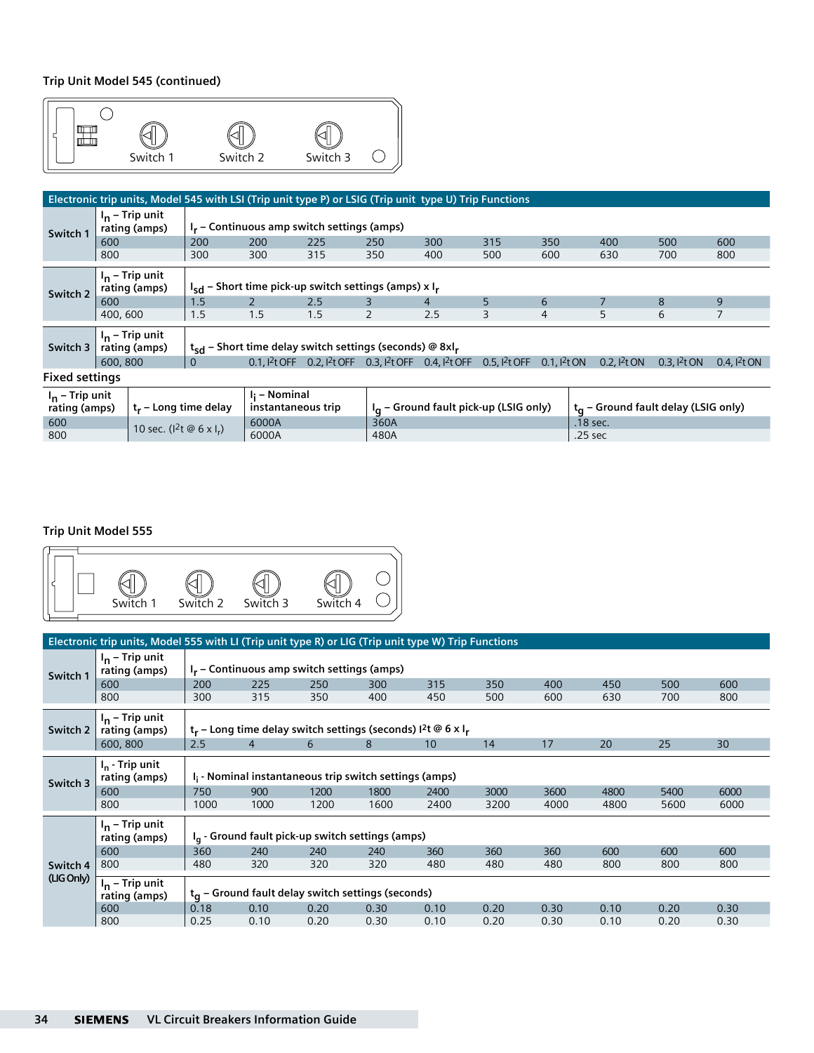**Trip Unit Model 545 (continued)**



|                       | Electronic trip units, Model 545 with LSI (Trip unit type P) or LSIG (Trip unit type U) Trip Functions                  |          |                                                              |                                                                     |     |                |                    |                      |                      |                   |                   |
|-----------------------|-------------------------------------------------------------------------------------------------------------------------|----------|--------------------------------------------------------------|---------------------------------------------------------------------|-----|----------------|--------------------|----------------------|----------------------|-------------------|-------------------|
| Switch 1              | I <sub>n</sub> – Trip unit<br>rating (amps)                                                                             |          | $I_r$ – Continuous amp switch settings (amps)                |                                                                     |     |                |                    |                      |                      |                   |                   |
|                       | 600                                                                                                                     | 200      | <b>200</b>                                                   | 225                                                                 | 250 | 300            | 315                | 350                  | 400                  | 500               | 600               |
|                       | 800                                                                                                                     | 300      | 300                                                          | 315                                                                 | 350 | 400            | 500                | 600                  | 630                  | 700               | 800               |
| Switch 2              | I <sub>n</sub> – Trip unit<br>rating (amps)                                                                             |          | $I_{sd}$ – Short time pick-up switch settings (amps) x $I_r$ |                                                                     |     |                |                    |                      |                      |                   |                   |
|                       | 600                                                                                                                     | 1.5      | $\overline{2}$                                               | 2.5                                                                 | 3   | $\overline{4}$ | 5                  | 6                    |                      | 8                 | 9                 |
|                       | 400,600                                                                                                                 | 1.5      | 1.5                                                          | 1.5                                                                 | 2   | 2.5            | 3                  | $\overline{4}$       | 5                    | 6                 |                   |
| Switch 3              | I <sub>n</sub> – Trip unit<br>$t_{sd}$ – Short time delay switch settings (seconds) @ 8xl <sub>r</sub><br>rating (amps) |          |                                                              |                                                                     |     |                |                    |                      |                      |                   |                   |
|                       | 600, 800                                                                                                                | $\Omega$ |                                                              | 0.1, $1^2$ t OFF 0.2, $1^2$ t OFF 0.3, $1^2$ t OFF 0.4, $1^2$ t OFF |     |                | 0.5, $1^{2}$ t OFF | $0.1$ , $ ^{2}$ t ON | $0.2$ , $ ^{2}$ t ON | 0.3, $1^{2}$ t ON | 0.4, $ ^{2}$ t ON |
| <b>Fixed settings</b> |                                                                                                                         |          |                                                              |                                                                     |     |                |                    |                      |                      |                   |                   |

| $I_n$ – Trip unit<br>rating (amps) | t. – Long time delay                  | l: - Nominal<br>instantaneous trip | $\vert \vert_{\alpha}$ – Ground fault pick-up (LSIG only) | $\pm t_{\alpha}$ – Ground fault delay (LSIG only) |
|------------------------------------|---------------------------------------|------------------------------------|-----------------------------------------------------------|---------------------------------------------------|
| 600                                | 10 sec. $(l^2t \otimes 6 \times l_r)$ | 6000A                              | 360A                                                      | .18 sec.                                          |
| 800                                |                                       | 6000A                              | 480A                                                      | .25 <sub>sec</sub>                                |

# **Trip Unit Model 555**

| Switch 1 | Switch 2 | Switch 3 | Switch 4 |  |
|----------|----------|----------|----------|--|

|            | Electronic trip units, Model 555 with LI (Trip unit type R) or LIG (Trip unit type W) Trip Functions |                                                                    |                |                                                                               |      |      |      |      |      |      |      |  |
|------------|------------------------------------------------------------------------------------------------------|--------------------------------------------------------------------|----------------|-------------------------------------------------------------------------------|------|------|------|------|------|------|------|--|
| Switch 1   | $I_n$ – Trip unit<br>rating (amps)                                                                   |                                                                    |                | $I_r$ – Continuous amp switch settings (amps)                                 |      |      |      |      |      |      |      |  |
|            | 600                                                                                                  | 200                                                                | 225            | 250                                                                           | 300  | 315  | 350  | 400  | 450  | 500  | 600  |  |
|            | 800                                                                                                  | 300                                                                | 315            | 350                                                                           | 400  | 450  | 500  | 600  | 630  | 700  | 800  |  |
| Switch 2   | $I_n$ – Trip unit<br>rating (amps)                                                                   |                                                                    |                | $t_r$ – Long time delay switch settings (seconds) $1^2t \otimes 6 \times I_r$ |      |      |      |      |      |      |      |  |
|            | 600, 800                                                                                             | 2.5                                                                | $\overline{4}$ | 6                                                                             | 8    | 10   | 14   | 17   | 20   | 25   | 30   |  |
| Switch 3   | $I_n$ - Trip unit<br>rating (amps)                                                                   | I <sub>i</sub> - Nominal instantaneous trip switch settings (amps) |                |                                                                               |      |      |      |      |      |      |      |  |
|            | 600                                                                                                  | 750                                                                | 900            | 1200                                                                          | 1800 | 2400 | 3000 | 3600 | 4800 | 5400 | 6000 |  |
|            | 800                                                                                                  | 1000                                                               | 1000           | 1200                                                                          | 1600 | 2400 | 3200 | 4000 | 4800 | 5600 | 6000 |  |
|            | $I_n$ – Trip unit<br>rating (amps)                                                                   |                                                                    |                | I <sub>g</sub> - Ground fault pick-up switch settings (amps)                  |      |      |      |      |      |      |      |  |
|            | 600                                                                                                  | 360                                                                | 240            | 240                                                                           | 240  | 360  | 360  | 360  | 600  | 600  | 600  |  |
| Switch 4   | 800                                                                                                  | 480                                                                | 320            | 320                                                                           | 320  | 480  | 480  | 480  | 800  | 800  | 800  |  |
| (LIG Only) | $I_n$ – Trip unit<br>rating (amps)                                                                   |                                                                    |                | $t_{q}$ – Ground fault delay switch settings (seconds)                        |      |      |      |      |      |      |      |  |
|            | 600                                                                                                  | 0.18                                                               | 0.10           | 0.20                                                                          | 0.30 | 0.10 | 0.20 | 0.30 | 0.10 | 0.20 | 0.30 |  |
|            | 800                                                                                                  | 0.25                                                               | 0.10           | 0.20                                                                          | 0.30 | 0.10 | 0.20 | 0.30 | 0.10 | 0.20 | 0.30 |  |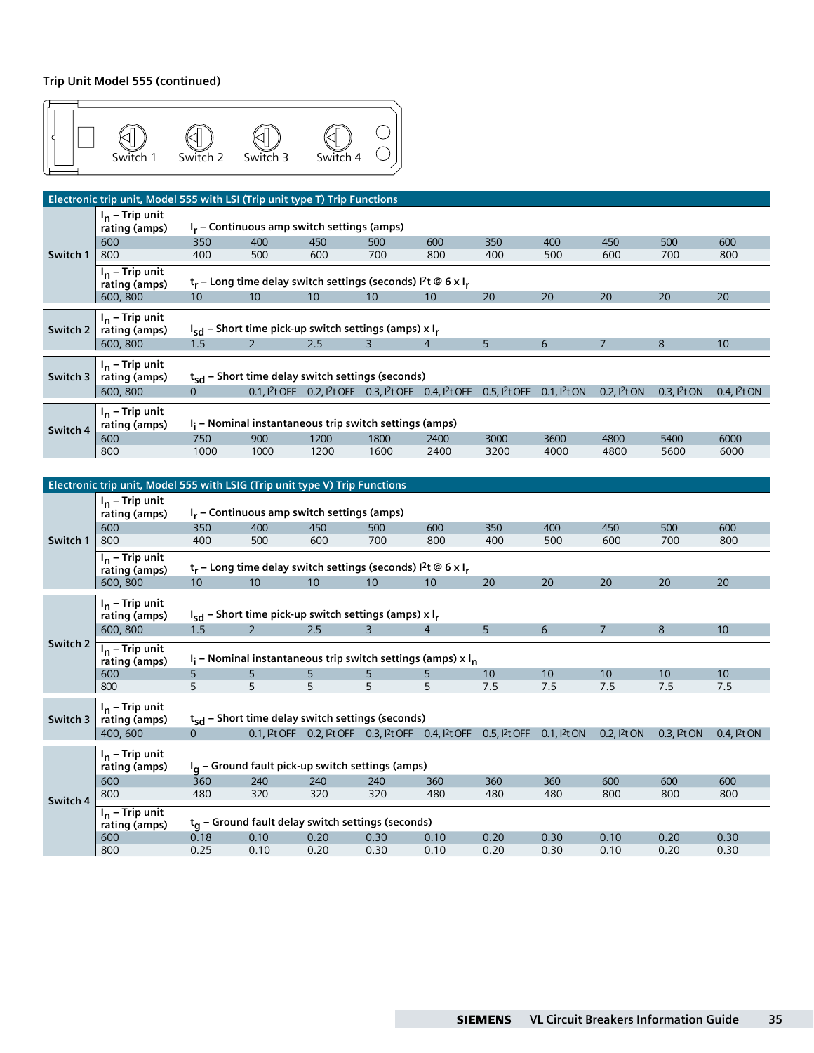**Trip Unit Model 555 (continued)**



|          | Electronic trip unit, Model 555 with LSI (Trip unit type T) Trip Functions |          |                                                                               |                                               |                                                                   |                 |                                                                                                                                                            |      |                |                   |                   |  |  |
|----------|----------------------------------------------------------------------------|----------|-------------------------------------------------------------------------------|-----------------------------------------------|-------------------------------------------------------------------|-----------------|------------------------------------------------------------------------------------------------------------------------------------------------------------|------|----------------|-------------------|-------------------|--|--|
|          | $I_n$ – Trip unit<br>rating (amps)                                         |          |                                                                               | $I_r$ – Continuous amp switch settings (amps) |                                                                   |                 |                                                                                                                                                            |      |                |                   |                   |  |  |
|          | 600                                                                        | 350      | 400                                                                           | 450                                           | 500                                                               | 600             | 350                                                                                                                                                        | 400  | 450            | 500               | 600               |  |  |
| Switch 1 | 800                                                                        | 400      | 500                                                                           | 600                                           | 700                                                               | 800             | 400                                                                                                                                                        | 500  | 600            | 700               | 800               |  |  |
|          | $I_n$ – Trip unit<br>rating (amps)                                         |          | $t_r$ – Long time delay switch settings (seconds) $l^2t \otimes 6 \times l_r$ |                                               |                                                                   |                 |                                                                                                                                                            |      |                |                   |                   |  |  |
|          | 600, 800                                                                   | 10       | 10 <sup>1</sup>                                                               | 10                                            | 10                                                                | 10 <sup>°</sup> | 20                                                                                                                                                         | 20   | 20             | 20                | 20                |  |  |
| Switch 2 | $I_n$ – Trip unit<br>rating (amps)<br>600,800                              | 1.5      |                                                                               | 2.5                                           | $I_{sd}$ – Short time pick-up switch settings (amps) x $I_r$<br>3 | $\overline{4}$  | 5                                                                                                                                                          | 6    | $\overline{7}$ | 8                 | 10                |  |  |
| Switch 3 | $I_n$ – Trip unit<br>rating (amps)<br>600, 800                             | $\Omega$ |                                                                               |                                               | $t_{sd}$ – Short time delay switch settings (seconds)             |                 | 0.1, I <sup>2</sup> t OFF 0.2, I <sup>2</sup> t OFF 0.3, I <sup>2</sup> t OFF 0.4, I <sup>2</sup> t OFF 0.5, I <sup>2</sup> t OFF 0.1, I <sup>2</sup> t ON |      | 0.2, $I^2t$ ON | 0.3, $1^{2}$ t ON | 0.4, $ ^{2}$ t ON |  |  |
| Switch 4 | $I_n$ – Trip unit<br>rating (amps)                                         |          |                                                                               |                                               | $I_i$ – Nominal instantaneous trip switch settings (amps)         |                 |                                                                                                                                                            |      |                |                   |                   |  |  |
|          | 600                                                                        | 750      | 900                                                                           | 1200                                          | 1800                                                              | 2400            | 3000                                                                                                                                                       | 3600 | 4800           | 5400              | 6000              |  |  |
|          | 800                                                                        | 1000     | 1000                                                                          | 1200                                          | 1600                                                              | 2400            | 3200                                                                                                                                                       | 4000 | 4800           | 5600              | 6000              |  |  |

|          | Electronic trip unit, Model 555 with LSIG (Trip unit type V) Trip Functions |                                                                   |      |                                                                                                                                   |      |                |      |                  |                      |                  |                      |
|----------|-----------------------------------------------------------------------------|-------------------------------------------------------------------|------|-----------------------------------------------------------------------------------------------------------------------------------|------|----------------|------|------------------|----------------------|------------------|----------------------|
|          | I <sub>n</sub> – Trip unit<br>rating (amps)                                 |                                                                   |      | $I_r$ – Continuous amp switch settings (amps)                                                                                     |      |                |      |                  |                      |                  |                      |
|          | 600                                                                         | 350                                                               | 400  | 450                                                                                                                               | 500  | 600            | 350  | 400              | 450                  | 500              | 600                  |
| Switch 1 | 800                                                                         | 400                                                               | 500  | 600                                                                                                                               | 700  | 800            | 400  | 500              | 600                  | 700              | 800                  |
|          | I <sub>n</sub> – Trip unit<br>rating (amps)                                 |                                                                   |      | t <sub>r</sub> - Long time delay switch settings (seconds) $1^2$ t @ 6 x I <sub>r</sub>                                           |      |                |      |                  |                      |                  |                      |
|          | 600, 800                                                                    | 10                                                                | 10   | 10                                                                                                                                | 10   | 10             | 20   | 20               | 20                   | 20               | 20                   |
|          | I <sub>n</sub> – Trip unit<br>rating (amps)                                 |                                                                   |      | I <sub>sd</sub> - Short time pick-up switch settings (amps) x I <sub>r</sub>                                                      |      |                |      |                  |                      |                  |                      |
|          | 600,800                                                                     | 1.5                                                               | 2    | 2.5                                                                                                                               | 3    | $\overline{4}$ | 5    | 6                | $\overline{7}$       | 8                | 10                   |
| Switch 2 | $I_n$ – Trip unit<br>rating (amps)                                          | $I_i$ – Nominal instantaneous trip switch settings (amps) x $I_n$ |      |                                                                                                                                   |      |                |      |                  |                      |                  |                      |
|          | 600                                                                         | 5                                                                 | 5    | 5                                                                                                                                 | 5    | 5              | 10   | 10               | 10                   | 10               | 10                   |
|          | 800                                                                         | 5                                                                 | 5    | 5                                                                                                                                 | 5    | 5              | 7.5  | 7.5              | 7.5                  | 7.5              | 7.5                  |
| Switch 3 | I <sub>n</sub> – Trip unit<br>rating (amps)                                 | t <sub>sd</sub> - Short time delay switch settings (seconds)      |      |                                                                                                                                   |      |                |      |                  |                      |                  |                      |
|          | 400,600                                                                     | $\Omega$                                                          |      | 0.1, I <sup>2</sup> t OFF 0.2, I <sup>2</sup> t OFF 0.3, I <sup>2</sup> t OFF 0.4, I <sup>2</sup> t OFF 0.5, I <sup>2</sup> t OFF |      |                |      | $0.1,$ $12$ t ON | $0.2$ , $1^{2}$ t ON | $0.3.1^{2}$ t ON | $0.4$ , $ ^{2}$ t ON |
|          | I <sub>n</sub> – Trip unit<br>rating (amps)                                 |                                                                   |      | I <sub>q</sub> - Ground fault pick-up switch settings (amps)                                                                      |      |                |      |                  |                      |                  |                      |
|          | 600                                                                         | 360                                                               | 240  | 240                                                                                                                               | 240  | 360            | 360  | 360              | 600                  | 600              | 600                  |
| Switch 4 | 800                                                                         | 480                                                               | 320  | 320                                                                                                                               | 320  | 480            | 480  | 480              | 800                  | 800              | 800                  |
|          | I <sub>n</sub> – Trip unit<br>rating (amps)                                 |                                                                   |      | t <sub>a</sub> - Ground fault delay switch settings (seconds)                                                                     |      |                |      |                  |                      |                  |                      |
|          | 600                                                                         | 0.18                                                              | 0.10 | 0.20                                                                                                                              | 0.30 | 0.10           | 0.20 | 0.30             | 0.10                 | 0.20             | 0.30                 |
|          | 800                                                                         | 0.25                                                              | 0.10 | 0.20                                                                                                                              | 0.30 | 0.10           | 0.20 | 0.30             | 0.10                 | 0.20             | 0.30                 |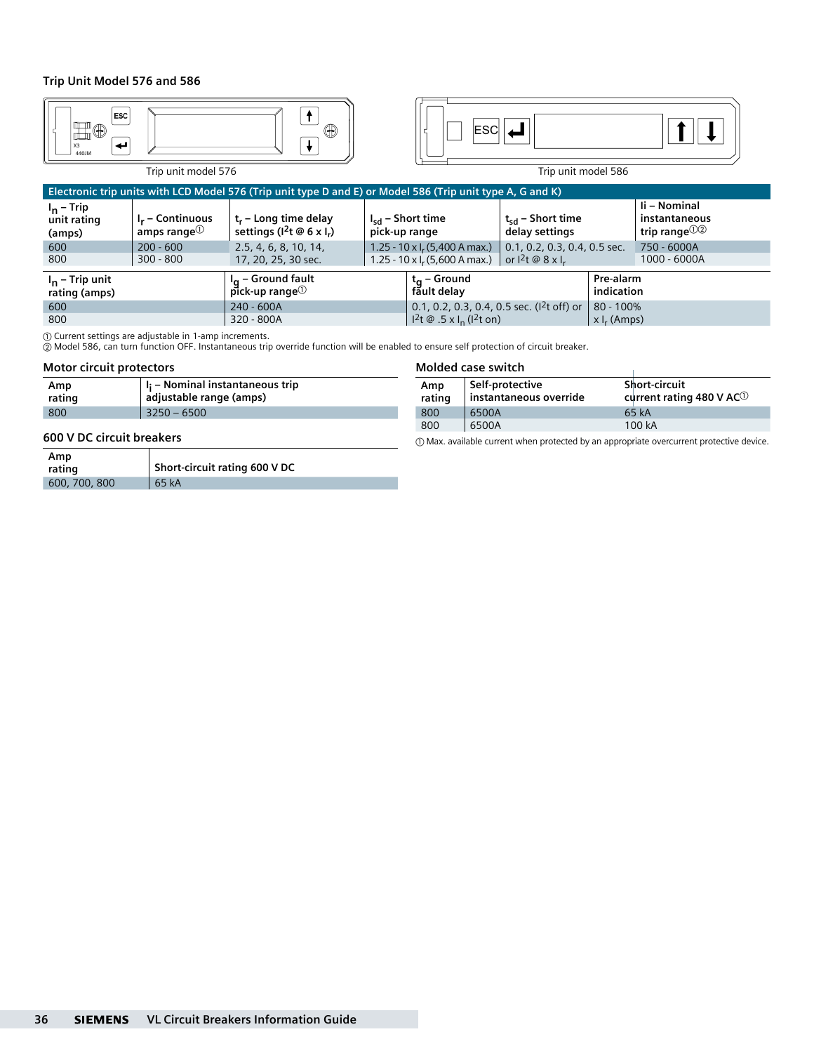#### **Trip Unit Model 576 and 586**

| ESC<br>اپ.<br>440JM                   | <b>ESC</b><br>⊕<br>Trip unit model 576<br>Trip unit model 586                                              |                                                                       |               |                                                                                             |                                                       |                                   |                                                  |  |  |
|---------------------------------------|------------------------------------------------------------------------------------------------------------|-----------------------------------------------------------------------|---------------|---------------------------------------------------------------------------------------------|-------------------------------------------------------|-----------------------------------|--------------------------------------------------|--|--|
|                                       | Electronic trip units with LCD Model 576 (Trip unit type D and E) or Model 586 (Trip unit type A, G and K) |                                                                       |               |                                                                                             |                                                       |                                   |                                                  |  |  |
| $I_n$ – Trip<br>unit rating<br>(amps) | $I_r$ – Continuous<br>amps range $0$                                                                       | $t_r$ – Long time delay<br>settings ( $1^2$ t @ 6 x I <sub>r</sub> )  | pick-up range | $I_{sd}$ – Short time                                                                       | $t_{\text{cd}}$ – Short time<br>delay settings        |                                   | li – Nominal<br>instantaneous<br>trip range $00$ |  |  |
| 600<br>800                            | $200 - 600$<br>$300 - 800$                                                                                 | 2.5, 4, 6, 8, 10, 14,<br>17, 20, 25, 30 sec.                          |               | 1.25 - 10 x $I_r$ (5,400 A max.)<br>1.25 - 10 x $I_r$ (5,600 A max.)                        | 0.1, 0.2, 0.3, 0.4, 0.5 sec.<br>or $12t \otimes 8x$ I |                                   | 750 - 6000A<br>1000 - 6000A                      |  |  |
| $I_n$ – Trip unit<br>rating (amps)    |                                                                                                            | I <sub>a</sub> - Ground fault<br>$\vec{p}$ ck-up range $\overline{0}$ |               | $t_{\alpha}$ – Ground<br>făult delay                                                        |                                                       | Pre-alarm<br>indication           |                                                  |  |  |
| 600<br>800                            |                                                                                                            | 240 - 600A<br>320 - 800A                                              |               | 0.1, 0.2, 0.3, 0.4, 0.5 sec. ( $1^2$ t off) or<br>$1^2t \otimes .5 \times I_n$ ( $1^2t$ on) |                                                       | $80 - 100\%$<br>$x \, I_r$ (Amps) |                                                  |  |  |

a Current settings are adjustable in 1-amp increments.

 $\oslash$  Model 586, can turn function OFF. Instantaneous trip override function will be enabled to ensure self protection of circuit breaker.

#### **Motor circuit protectors**

| Amp    | $ I_i -$ Nominal instantaneous trip |
|--------|-------------------------------------|
| rating | adjustable range (amps)             |
| 800    | $3250 - 6500$                       |

#### **Molded case switch**

| Amp<br>rating | Self-protective<br>instantaneous override | <b>Short-circuit</b><br>current rating 480 V AC <sup>1</sup> |
|---------------|-------------------------------------------|--------------------------------------------------------------|
| 800           | 6500A                                     | 65 kA                                                        |
| 800           | 6500A                                     | 100 kA                                                       |

a Max. available current when protected by an appropriate overcurrent protective device.

#### **600 V DC circuit breakers**

| Amp<br>rating | Short-circuit rating 600 V DC |
|---------------|-------------------------------|
| 600, 700, 800 | 65 kA                         |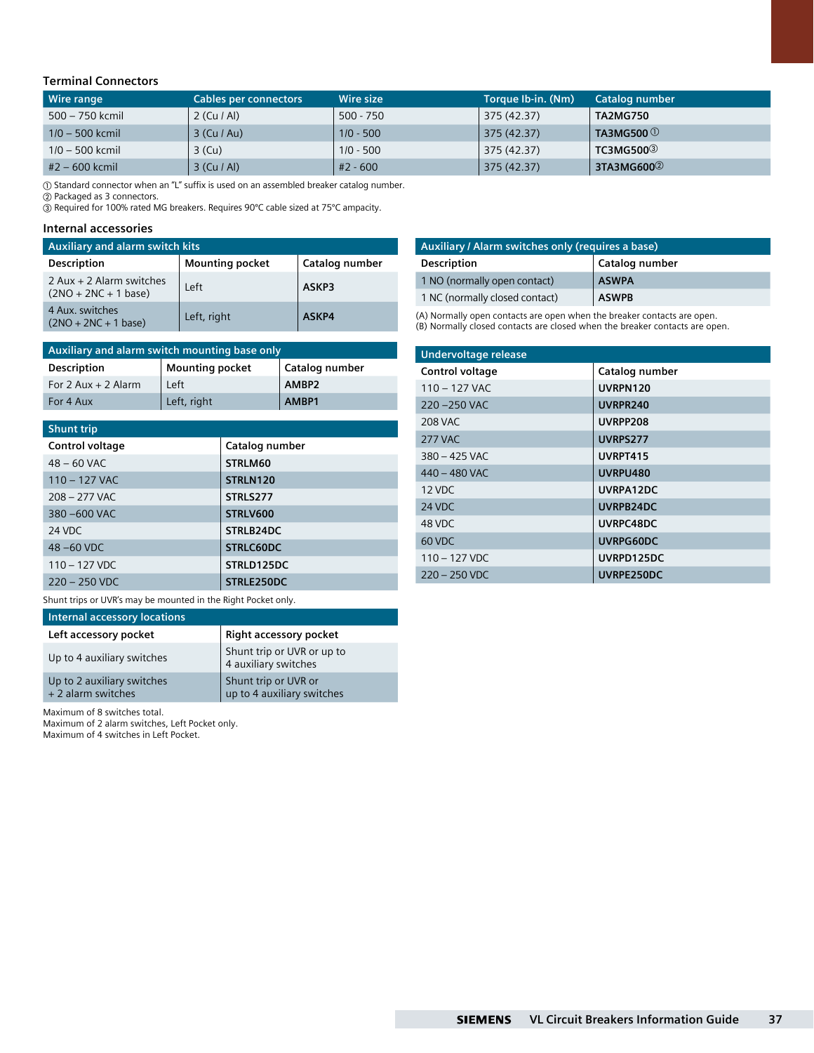### **Terminal Connectors**

| Wire range        | Cables per connectors | Wire size   | Torque Ib-in. (Nm) | Catalog number        |
|-------------------|-----------------------|-------------|--------------------|-----------------------|
| 500 – 750 kcmil   | $2$ (Cu / Al)         | $500 - 750$ | 375 (42.37)        | <b>TA2MG750</b>       |
| $1/0 - 500$ kcmil | $3$ (Cu / Au)         | $1/0 - 500$ | 375 (42.37)        | TA3MG500 $\mathbb O$  |
| $1/0 - 500$ kcmil | $3$ (Cu)              | $1/0 - 500$ | 375 (42.37)        | TC3MG500 <sup>3</sup> |
| $#2 - 600$ kcmil  | $3$ (Cu / Al)         | $#2 - 600$  | 375 (42.37)        | 3TA3MG600 $@$         |

a Standard connector when an "L" suffix is used on an assembled breaker catalog number.

② Packaged as 3 connectors.

③ Required for 100% rated MG breakers. Requires 90°C cable sized at 75°C ampacity.

#### **Internal accessories**

| <b>Auxiliary and alarm switch kits</b>               |                        |                |  |
|------------------------------------------------------|------------------------|----------------|--|
| <b>Description</b>                                   | <b>Mounting pocket</b> | Catalog number |  |
| $2$ Aux + 2 Alarm switches<br>$(2NO + 2NC + 1 base)$ | Left                   | ASKP3          |  |
| 4 Aux. switches<br>$(2NO + 2NC + 1 base)$            | Left, right            | ASKP4          |  |

#### **Auxiliary and alarm switch mounting base only**

| Description             | <b>Mounting pocket</b> | Catalog number |  |
|-------------------------|------------------------|----------------|--|
| For $2$ Aux + $2$ Alarm | Left                   | AMBP2          |  |
| For 4 Aux               | Left, right            | AMBP1          |  |

#### **Shunt trip**

| Control voltage         | Catalog number |
|-------------------------|----------------|
| $48 - 60$ VAC           | STRLM60        |
| $110 - 127$ VAC         | STRLN120       |
| $208 - 277$ VAC         | STRLS277       |
| 380 -600 VAC            | STRLV600       |
| 24 VDC                  | STRLB24DC      |
| $48 - 60$ VDC           | STRLC60DC      |
| $110 - 127$ VDC         | STRLD125DC     |
| $220 - 250 \text{ VDC}$ | STRLE250DC     |

Shunt trips or UVR's may be mounted in the Right Pocket only.

**Internal accessory locations**

| Left accessory pocket                            | <b>Right accessory pocket</b>                      |
|--------------------------------------------------|----------------------------------------------------|
| Up to 4 auxiliary switches                       | Shunt trip or UVR or up to<br>4 auxiliary switches |
| Up to 2 auxiliary switches<br>+ 2 alarm switches | Shunt trip or UVR or<br>up to 4 auxiliary switches |

Maximum of 8 switches total.

Maximum of 2 alarm switches, Left Pocket only. Maximum of 4 switches in Left Pocket.

| Auxiliary / Alarm switches only (requires a base) |                |  |  |
|---------------------------------------------------|----------------|--|--|
| Description                                       | Catalog number |  |  |
| 1 NO (normally open contact)                      | <b>ASWPA</b>   |  |  |
| 1 NC (normally closed contact)<br><b>ASWPB</b>    |                |  |  |

(A) Normally open contacts are open when the breaker contacts are open. (B) Normally closed contacts are closed when the breaker contacts are open.

| Undervoltage release |                 |
|----------------------|-----------------|
| Control voltage      | Catalog number  |
| $110 - 127$ VAC      | UVRPN120        |
| $220 - 250$ VAC      | UVRPR240        |
| 208 VAC              | <b>UVRPP208</b> |
| <b>277 VAC</b>       | <b>UVRPS277</b> |
| $380 - 425$ VAC      | UVRPT415        |
| $440 - 480$ VAC      | UVRPU480        |
| $12$ VDC             | UVRPA12DC       |
| 24 VDC               | UVRPB24DC       |
| 48 VDC               | UVRPC48DC       |
| 60 VDC               | UVRPG60DC       |
| $110 - 127$ VDC      | UVRPD125DC      |
| $220 - 250$ VDC      | UVRPE250DC      |